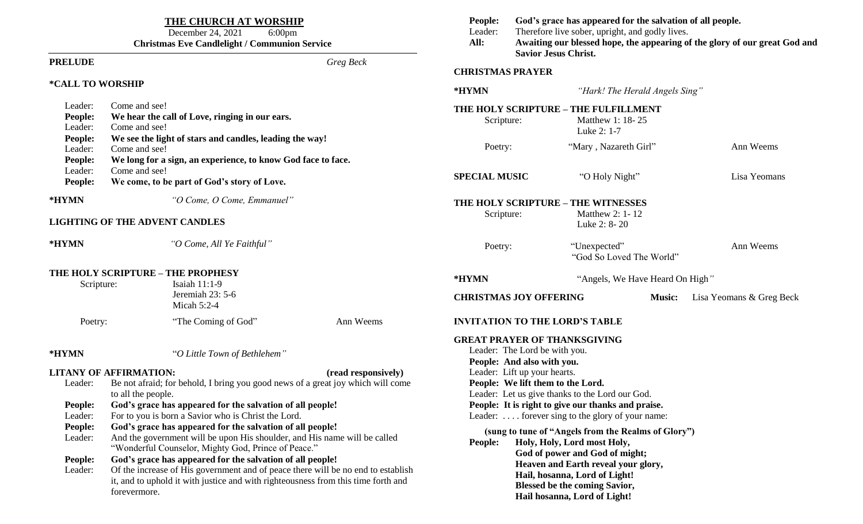| THE CHURCH AT WORSHIP<br>December 24, 2021<br>$6:00$ pm<br><b>Christmas Eve Candlelight / Communion Service</b>                                                                                                                                                                                                                                                                                                                                                                                                                                                                                                                                                                                                                                                                                                                                                |                                                                                                                                                              |  | People:<br>Leader:<br>All:                                                                                                                                                                                                                                                                                                                                                                                                                                                                                                                                                                                              | God's grace has appeared for the salvation of all people.<br>Therefore live sober, upright, and godly lives.<br>Awaiting our blessed hope, the appearing of the glory of our great God and<br><b>Savior Jesus Christ.</b> |                                          |                                |                          |
|----------------------------------------------------------------------------------------------------------------------------------------------------------------------------------------------------------------------------------------------------------------------------------------------------------------------------------------------------------------------------------------------------------------------------------------------------------------------------------------------------------------------------------------------------------------------------------------------------------------------------------------------------------------------------------------------------------------------------------------------------------------------------------------------------------------------------------------------------------------|--------------------------------------------------------------------------------------------------------------------------------------------------------------|--|-------------------------------------------------------------------------------------------------------------------------------------------------------------------------------------------------------------------------------------------------------------------------------------------------------------------------------------------------------------------------------------------------------------------------------------------------------------------------------------------------------------------------------------------------------------------------------------------------------------------------|---------------------------------------------------------------------------------------------------------------------------------------------------------------------------------------------------------------------------|------------------------------------------|--------------------------------|--------------------------|
| <b>PRELUDE</b>                                                                                                                                                                                                                                                                                                                                                                                                                                                                                                                                                                                                                                                                                                                                                                                                                                                 | Greg Beck                                                                                                                                                    |  |                                                                                                                                                                                                                                                                                                                                                                                                                                                                                                                                                                                                                         | <b>CHRISTMAS PRAYER</b>                                                                                                                                                                                                   |                                          |                                |                          |
| *CALL TO WORSHIP                                                                                                                                                                                                                                                                                                                                                                                                                                                                                                                                                                                                                                                                                                                                                                                                                                               |                                                                                                                                                              |  | *HYMN<br>"Hark! The Herald Angels Sing"                                                                                                                                                                                                                                                                                                                                                                                                                                                                                                                                                                                 |                                                                                                                                                                                                                           |                                          |                                |                          |
| Leader:<br>People:<br>Leader:<br>People:<br>Leader:                                                                                                                                                                                                                                                                                                                                                                                                                                                                                                                                                                                                                                                                                                                                                                                                            | Come and see!<br>We hear the call of Love, ringing in our ears.<br>Come and see!<br>We see the light of stars and candles, leading the way!<br>Come and see! |  | THE HOLY SCRIPTURE - THE FULFILLMENT<br>Matthew 1: 18-25<br>Scripture:<br>Luke 2: 1-7<br>"Mary, Nazareth Girl"<br>Poetry:                                                                                                                                                                                                                                                                                                                                                                                                                                                                                               |                                                                                                                                                                                                                           |                                          | Ann Weems                      |                          |
| People:<br>Leader:<br>People:                                                                                                                                                                                                                                                                                                                                                                                                                                                                                                                                                                                                                                                                                                                                                                                                                                  | We long for a sign, an experience, to know God face to face.<br>Come and see!<br>We come, to be part of God's story of Love.                                 |  | <b>SPECIAL MUSIC</b>                                                                                                                                                                                                                                                                                                                                                                                                                                                                                                                                                                                                    |                                                                                                                                                                                                                           |                                          | "O Holy Night"<br>Lisa Yeomans |                          |
| *HYMN                                                                                                                                                                                                                                                                                                                                                                                                                                                                                                                                                                                                                                                                                                                                                                                                                                                          | "O Come, O Come, Emmanuel"<br><b>LIGHTING OF THE ADVENT CANDLES</b>                                                                                          |  | THE HOLY SCRIPTURE - THE WITNESSES<br>Scripture:                                                                                                                                                                                                                                                                                                                                                                                                                                                                                                                                                                        |                                                                                                                                                                                                                           | Matthew 2: 1-12<br>Luke 2: 8-20          |                                |                          |
| *HYMN                                                                                                                                                                                                                                                                                                                                                                                                                                                                                                                                                                                                                                                                                                                                                                                                                                                          | "O Come, All Ye Faithful"                                                                                                                                    |  | Poetry:                                                                                                                                                                                                                                                                                                                                                                                                                                                                                                                                                                                                                 |                                                                                                                                                                                                                           | "Unexpected"<br>"God So Loved The World" |                                | Ann Weems                |
| THE HOLY SCRIPTURE - THE PROPHESY<br>Isaiah 11:1-9<br>Scripture:<br>Jeremiah 23: 5-6                                                                                                                                                                                                                                                                                                                                                                                                                                                                                                                                                                                                                                                                                                                                                                           |                                                                                                                                                              |  | *HYMN                                                                                                                                                                                                                                                                                                                                                                                                                                                                                                                                                                                                                   | "Angels, We Have Heard On High"                                                                                                                                                                                           |                                          |                                |                          |
|                                                                                                                                                                                                                                                                                                                                                                                                                                                                                                                                                                                                                                                                                                                                                                                                                                                                | Micah 5:2-4                                                                                                                                                  |  | <b>CHRISTMAS JOY OFFERING</b>                                                                                                                                                                                                                                                                                                                                                                                                                                                                                                                                                                                           |                                                                                                                                                                                                                           |                                          | <b>Music:</b>                  | Lisa Yeomans & Greg Beck |
|                                                                                                                                                                                                                                                                                                                                                                                                                                                                                                                                                                                                                                                                                                                                                                                                                                                                | "The Coming of God"<br>Ann Weems<br>Poetry:                                                                                                                  |  | <b>INVITATION TO THE LORD'S TABLE</b>                                                                                                                                                                                                                                                                                                                                                                                                                                                                                                                                                                                   |                                                                                                                                                                                                                           |                                          |                                |                          |
| *HYMN<br>"O Little Town of Bethlehem"<br><b>LITANY OF AFFIRMATION:</b><br>(read responsively)<br>Be not afraid; for behold, I bring you good news of a great joy which will come<br>Leader:<br>to all the people.<br>People:<br>God's grace has appeared for the salvation of all people!<br>For to you is born a Savior who is Christ the Lord.<br>Leader:<br>God's grace has appeared for the salvation of all people!<br>People:<br>And the government will be upon His shoulder, and His name will be called<br>Leader:<br>"Wonderful Counselor, Mighty God, Prince of Peace."<br>God's grace has appeared for the salvation of all people!<br>People:<br>Of the increase of His government and of peace there will be no end to establish<br>Leader:<br>it, and to uphold it with justice and with righteousness from this time forth and<br>forevermore. |                                                                                                                                                              |  | <b>GREAT PRAYER OF THANKSGIVING</b><br>Leader: The Lord be with you.<br>People: And also with you.<br>Leader: Lift up your hearts.<br>People: We lift them to the Lord.<br>Leader: Let us give thanks to the Lord our God.<br>People: It is right to give our thanks and praise.<br>Leader:  forever sing to the glory of your name:<br>(sung to tune of "Angels from the Realms of Glory")<br>Holy, Holy, Lord most Holy,<br>People:<br>God of power and God of might;<br>Heaven and Earth reveal your glory,<br>Hail, hosanna, Lord of Light!<br><b>Blessed be the coming Savior,</b><br>Hail hosanna, Lord of Light! |                                                                                                                                                                                                                           |                                          |                                |                          |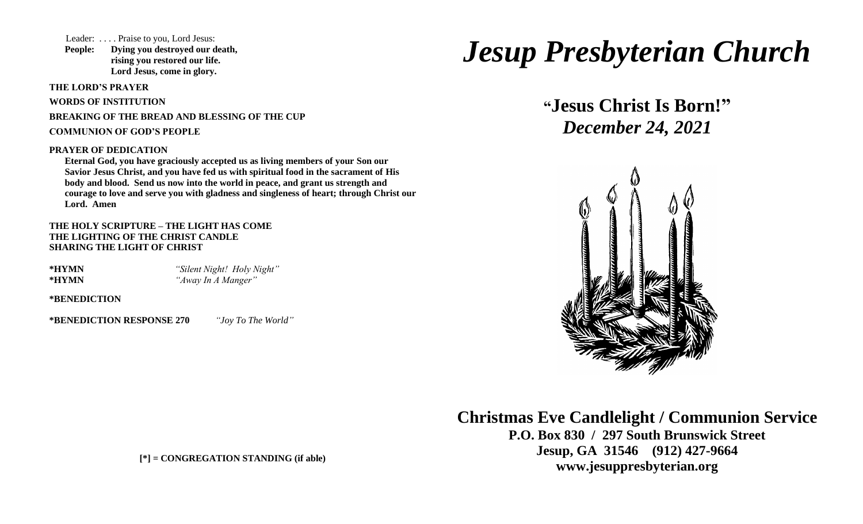Leader: . . . . Praise to you, Lord Jesus:

**People: Dying you destroyed our death, rising you restored our life. Lord Jesus, come in glory.**

**THE LORD'S PRAYER**

**WORDS OF INSTITUTION**

**BREAKING OF THE BREAD AND BLESSING OF THE CUP**

**COMMUNION OF GOD'S PEOPLE**

#### **PRAYER OF DEDICATION**

**Eternal God, you have graciously accepted us as living members of your Son our Savior Jesus Christ, and you have fed us with spiritual food in the sacrament of His body and blood. Send us now into the world in peace, and grant us strength and courage to love and serve you with gladness and singleness of heart; through Christ our Lord. Amen**

**THE HOLY SCRIPTURE – THE LIGHT HAS COME THE LIGHTING OF THE CHRIST CANDLE SHARING THE LIGHT OF CHRIST**

**\*HYMN** *"Silent Night! Holy Night"* **\*HYMN** *"Away In A Manger"*

**\*BENEDICTION**

**\*BENEDICTION RESPONSE 270** *"Joy To The World"* 

# *Jesup Presbyterian Church*

**"Jesus Christ Is Born!"**  *December 24, 2021*



**Christmas Eve Candlelight / Communion Service P.O. Box 830 / 297 South Brunswick Street Jesup, GA 31546 (912) 427-9664 www.jesuppresbyterian.org**

**[\*]** *=* **CONGREGATION STANDING (if able)**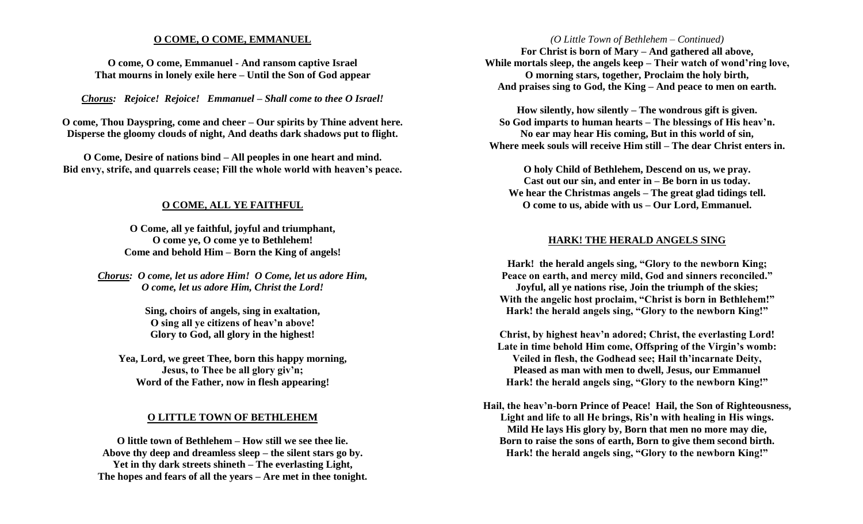#### **O COME, O COME, EMMANUEL**

**O come, O come, Emmanuel - And ransom captive Israel That mourns in lonely exile here – Until the Son of God appear**

*Chorus: Rejoice! Rejoice! Emmanuel – Shall come to thee O Israel!*

**O come, Thou Dayspring, come and cheer – Our spirits by Thine advent here. Disperse the gloomy clouds of night, And deaths dark shadows put to flight.**

**O Come, Desire of nations bind – All peoples in one heart and mind. Bid envy, strife, and quarrels cease; Fill the whole world with heaven's peace.**

### **O COME, ALL YE FAITHFUL**

**O Come, all ye faithful, joyful and triumphant, O come ye, O come ye to Bethlehem! Come and behold Him – Born the King of angels!**

*Chorus: O come, let us adore Him! O Come, let us adore Him, O come, let us adore Him, Christ the Lord!*

> **Sing, choirs of angels, sing in exaltation, O sing all ye citizens of heav'n above! Glory to God, all glory in the highest!**

**Yea, Lord, we greet Thee, born this happy morning, Jesus, to Thee be all glory giv'n; Word of the Father, now in flesh appearing!**

#### **O LITTLE TOWN OF BETHLEHEM**

**O little town of Bethlehem – How still we see thee lie. Above thy deep and dreamless sleep – the silent stars go by. Yet in thy dark streets shineth – The everlasting Light, The hopes and fears of all the years – Are met in thee tonight.**

#### *(O Little Town of Bethlehem – Continued)*

**For Christ is born of Mary – And gathered all above, While mortals sleep, the angels keep – Their watch of wond'ring love, O morning stars, together, Proclaim the holy birth, And praises sing to God, the King – And peace to men on earth.**

**How silently, how silently – The wondrous gift is given. So God imparts to human hearts – The blessings of His heav'n. No ear may hear His coming, But in this world of sin, Where meek souls will receive Him still – The dear Christ enters in.**

**O holy Child of Bethlehem, Descend on us, we pray. Cast out our sin, and enter in – Be born in us today. We hear the Christmas angels – The great glad tidings tell. O come to us, abide with us – Our Lord, Emmanuel.**

#### **HARK! THE HERALD ANGELS SING**

**Hark! the herald angels sing, "Glory to the newborn King; Peace on earth, and mercy mild, God and sinners reconciled." Joyful, all ye nations rise, Join the triumph of the skies; With the angelic host proclaim, "Christ is born in Bethlehem!" Hark! the herald angels sing, "Glory to the newborn King!"**

**Christ, by highest heav'n adored; Christ, the everlasting Lord! Late in time behold Him come, Offspring of the Virgin's womb: Veiled in flesh, the Godhead see; Hail th'incarnate Deity, Pleased as man with men to dwell, Jesus, our Emmanuel Hark! the herald angels sing, "Glory to the newborn King!"**

**Hail, the heav'n-born Prince of Peace! Hail, the Son of Righteousness, Light and life to all He brings, Ris'n with healing in His wings. Mild He lays His glory by, Born that men no more may die, Born to raise the sons of earth, Born to give them second birth. Hark! the herald angels sing, "Glory to the newborn King!"**